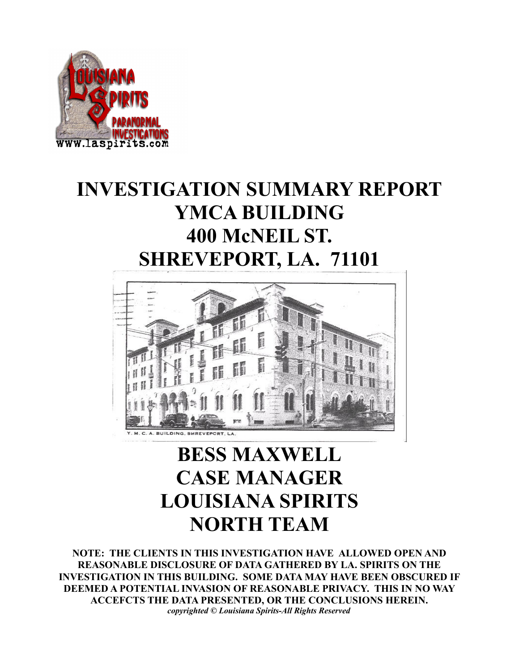

# **INVESTIGATION SUMMARY REPORT YMCA BUILDING 400 McNEIL ST. SHREVEPORT, LA. 71101**



# **BESS MAXWELL CASE MANAGER LOUISIANA SPIRITS NORTH TEAM**

**NOTE: THE CLIENTS IN THIS INVESTIGATION HAVE ALLOWED OPEN AND REASONABLE DISCLOSURE OF DATA GATHERED BY LA. SPIRITS ON THE INVESTIGATION IN THIS BUILDING. SOME DATA MAY HAVE BEEN OBSCURED IF DEEMED A POTENTIAL INVASION OF REASONABLE PRIVACY. THIS IN NO WAY ACCEFCTS THE DATA PRESENTED, OR THE CONCLUSIONS HEREIN.** *copyrighted © Louisiana Spirits-All Rights Reserved*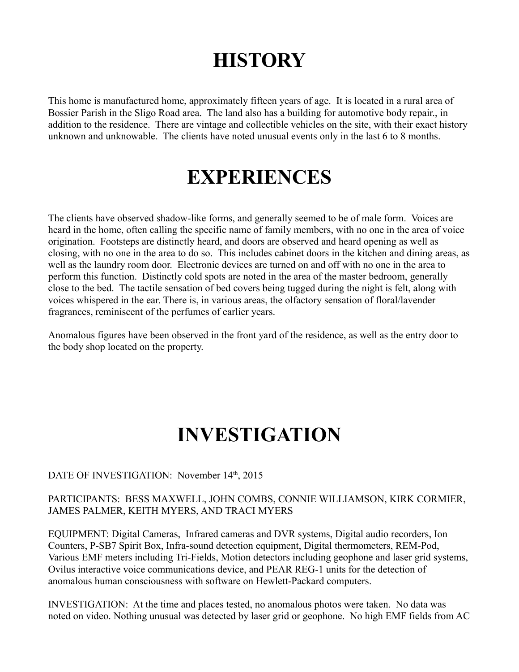# **HISTORY**

This home is manufactured home, approximately fifteen years of age. It is located in a rural area of Bossier Parish in the Sligo Road area. The land also has a building for automotive body repair., in addition to the residence. There are vintage and collectible vehicles on the site, with their exact history unknown and unknowable. The clients have noted unusual events only in the last 6 to 8 months.

# **EXPERIENCES**

The clients have observed shadow-like forms, and generally seemed to be of male form. Voices are heard in the home, often calling the specific name of family members, with no one in the area of voice origination. Footsteps are distinctly heard, and doors are observed and heard opening as well as closing, with no one in the area to do so. This includes cabinet doors in the kitchen and dining areas, as well as the laundry room door. Electronic devices are turned on and off with no one in the area to perform this function. Distinctly cold spots are noted in the area of the master bedroom, generally close to the bed. The tactile sensation of bed covers being tugged during the night is felt, along with voices whispered in the ear. There is, in various areas, the olfactory sensation of floral/lavender fragrances, reminiscent of the perfumes of earlier years.

Anomalous figures have been observed in the front yard of the residence, as well as the entry door to the body shop located on the property.

# **INVESTIGATION**

### DATE OF INVESTIGATION: November 14<sup>th</sup>, 2015

### PARTICIPANTS: BESS MAXWELL, JOHN COMBS, CONNIE WILLIAMSON, KIRK CORMIER, JAMES PALMER, KEITH MYERS, AND TRACI MYERS

EQUIPMENT: Digital Cameras, Infrared cameras and DVR systems, Digital audio recorders, Ion Counters, P-SB7 Spirit Box, Infra-sound detection equipment, Digital thermometers, REM-Pod, Various EMF meters including Tri-Fields, Motion detectors including geophone and laser grid systems, Ovilus interactive voice communications device, and PEAR REG-1 units for the detection of anomalous human consciousness with software on Hewlett-Packard computers.

INVESTIGATION: At the time and places tested, no anomalous photos were taken. No data was noted on video. Nothing unusual was detected by laser grid or geophone. No high EMF fields from AC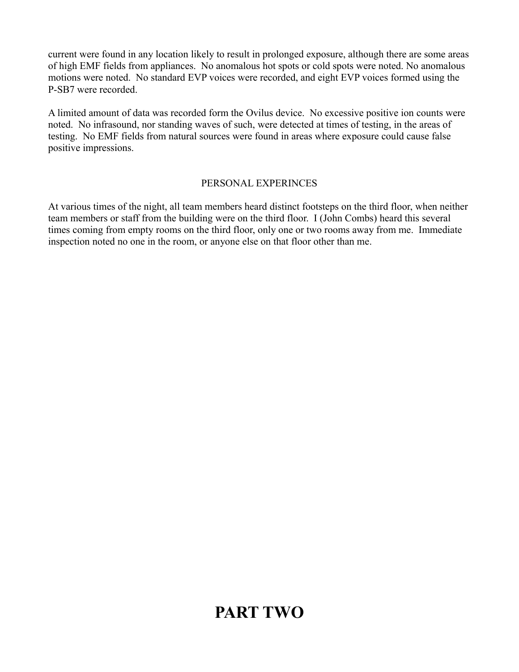current were found in any location likely to result in prolonged exposure, although there are some areas of high EMF fields from appliances. No anomalous hot spots or cold spots were noted. No anomalous motions were noted. No standard EVP voices were recorded, and eight EVP voices formed using the P-SB7 were recorded.

A limited amount of data was recorded form the Ovilus device. No excessive positive ion counts were noted. No infrasound, nor standing waves of such, were detected at times of testing, in the areas of testing. No EMF fields from natural sources were found in areas where exposure could cause false positive impressions.

### PERSONAL EXPERINCES

At various times of the night, all team members heard distinct footsteps on the third floor, when neither team members or staff from the building were on the third floor. I (John Combs) heard this several times coming from empty rooms on the third floor, only one or two rooms away from me. Immediate inspection noted no one in the room, or anyone else on that floor other than me.

## **PART TWO**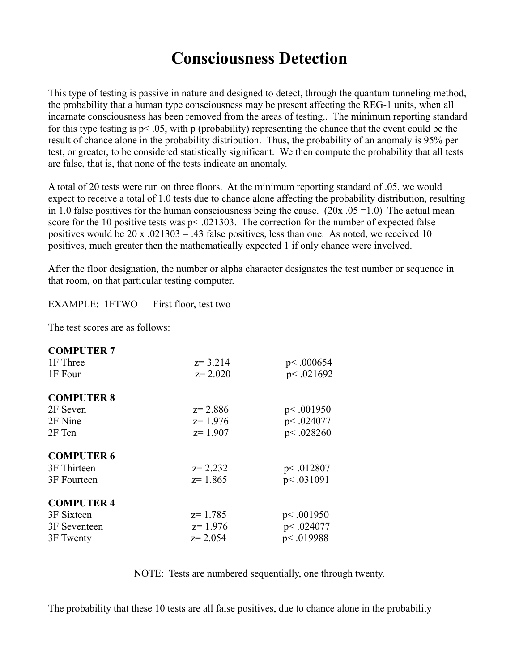## **Consciousness Detection**

This type of testing is passive in nature and designed to detect, through the quantum tunneling method, the probability that a human type consciousness may be present affecting the REG-1 units, when all incarnate consciousness has been removed from the areas of testing.. The minimum reporting standard for this type testing is p< .05, with p (probability) representing the chance that the event could be the result of chance alone in the probability distribution. Thus, the probability of an anomaly is 95% per test, or greater, to be considered statistically significant. We then compute the probability that all tests are false, that is, that none of the tests indicate an anomaly.

A total of 20 tests were run on three floors. At the minimum reporting standard of .05, we would expect to receive a total of 1.0 tests due to chance alone affecting the probability distribution, resulting in 1.0 false positives for the human consciousness being the cause.  $(20x.05 = 1.0)$  The actual mean score for the 10 positive tests was  $p < .021303$ . The correction for the number of expected false positives would be 20 x  $.021303 = .43$  false positives, less than one. As noted, we received 10 positives, much greater then the mathematically expected 1 if only chance were involved.

After the floor designation, the number or alpha character designates the test number or sequence in that room, on that particular testing computer.

EXAMPLE: 1FTWO First floor, test two

The test scores are as follows:

| <b>COMPUTER 7</b> |             |             |
|-------------------|-------------|-------------|
| 1F Three          | $z = 3.214$ | p<.000654   |
| 1F Four           | $z = 2.020$ | p<.021692   |
| <b>COMPUTER 8</b> |             |             |
| 2F Seven          | $z = 2.886$ | p<.001950   |
| 2F Nine           | $z=1.976$   | p<.024077   |
| 2F Ten            | $z=1.907$   | p<.028260   |
| <b>COMPUTER 6</b> |             |             |
| 3F Thirteen       | $z = 2.232$ | p<.012807   |
| 3F Fourteen       | $z = 1.865$ | p<.031091   |
| <b>COMPUTER 4</b> |             |             |
| 3F Sixteen        | $z=1.785$   | p<.001950   |
| 3F Seventeen      | $z=1.976$   | p<.024077   |
| 3F Twenty         | $z = 2.054$ | p <. 019988 |

NOTE: Tests are numbered sequentially, one through twenty.

The probability that these 10 tests are all false positives, due to chance alone in the probability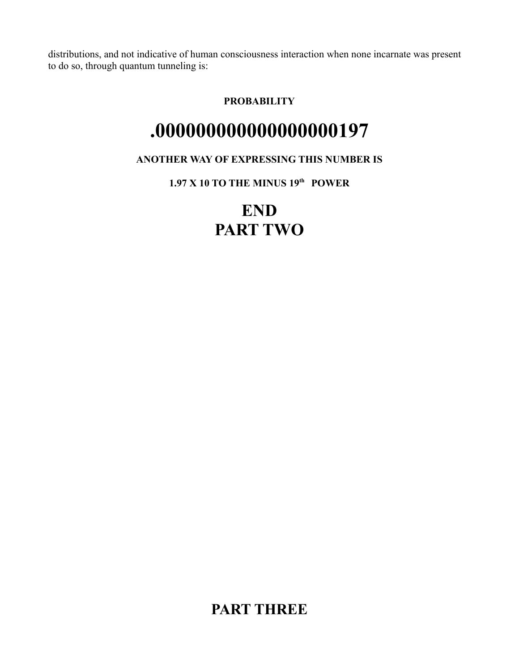distributions, and not indicative of human consciousness interaction when none incarnate was present to do so, through quantum tunneling is:

### **PROBABILITY**

# **.000000000000000000197**

### **ANOTHER WAY OF EXPRESSING THIS NUMBER IS**

**1.97 X 10 TO THE MINUS 19th POWER**

# **END PART TWO**

**PART THREE**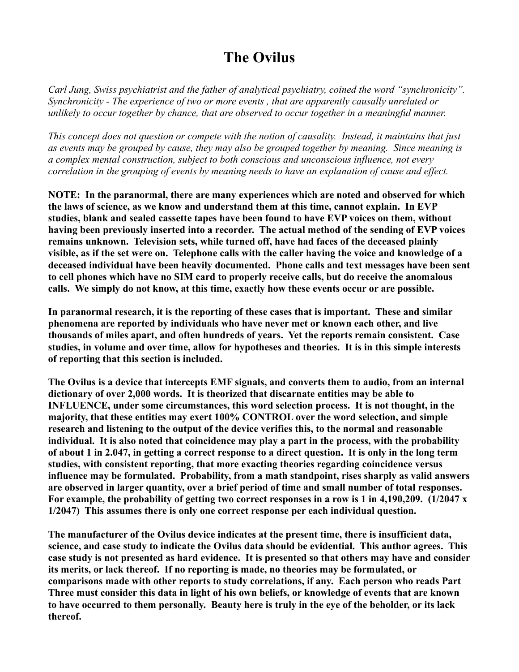### **The Ovilus**

*Carl Jung, Swiss psychiatrist and the father of analytical psychiatry, coined the word "synchronicity". Synchronicity - The experience of two or more events , that are apparently causally unrelated or unlikely to occur together by chance, that are observed to occur together in a meaningful manner.*

*This concept does not question or compete with the notion of causality. Instead, it maintains that just as events may be grouped by cause, they may also be grouped together by meaning. Since meaning is a complex mental construction, subject to both conscious and unconscious influence, not every correlation in the grouping of events by meaning needs to have an explanation of cause and effect.*

**NOTE: In the paranormal, there are many experiences which are noted and observed for which the laws of science, as we know and understand them at this time, cannot explain. In EVP studies, blank and sealed cassette tapes have been found to have EVP voices on them, without having been previously inserted into a recorder. The actual method of the sending of EVP voices remains unknown. Television sets, while turned off, have had faces of the deceased plainly visible, as if the set were on. Telephone calls with the caller having the voice and knowledge of a deceased individual have been heavily documented. Phone calls and text messages have been sent to cell phones which have no SIM card to properly receive calls, but do receive the anomalous calls. We simply do not know, at this time, exactly how these events occur or are possible.**

**In paranormal research, it is the reporting of these cases that is important. These and similar phenomena are reported by individuals who have never met or known each other, and live thousands of miles apart, and often hundreds of years. Yet the reports remain consistent. Case studies, in volume and over time, allow for hypotheses and theories. It is in this simple interests of reporting that this section is included.**

**The Ovilus is a device that intercepts EMF signals, and converts them to audio, from an internal dictionary of over 2,000 words. It is theorized that discarnate entities may be able to INFLUENCE, under some circumstances, this word selection process. It is not thought, in the majority, that these entities may exert 100% CONTROL over the word selection, and simple research and listening to the output of the device verifies this, to the normal and reasonable individual. It is also noted that coincidence may play a part in the process, with the probability of about 1 in 2.047, in getting a correct response to a direct question. It is only in the long term studies, with consistent reporting, that more exacting theories regarding coincidence versus influence may be formulated. Probability, from a math standpoint, rises sharply as valid answers are observed in larger quantity, over a brief period of time and small number of total responses. For example, the probability of getting two correct responses in a row is 1 in 4,190,209. (1/2047 x 1/2047) This assumes there is only one correct response per each individual question.**

**The manufacturer of the Ovilus device indicates at the present time, there is insufficient data, science, and case study to indicate the Ovilus data should be evidential. This author agrees. This case study is not presented as hard evidence. It is presented so that others may have and consider its merits, or lack thereof. If no reporting is made, no theories may be formulated, or comparisons made with other reports to study correlations, if any. Each person who reads Part Three must consider this data in light of his own beliefs, or knowledge of events that are known to have occurred to them personally. Beauty here is truly in the eye of the beholder, or its lack thereof.**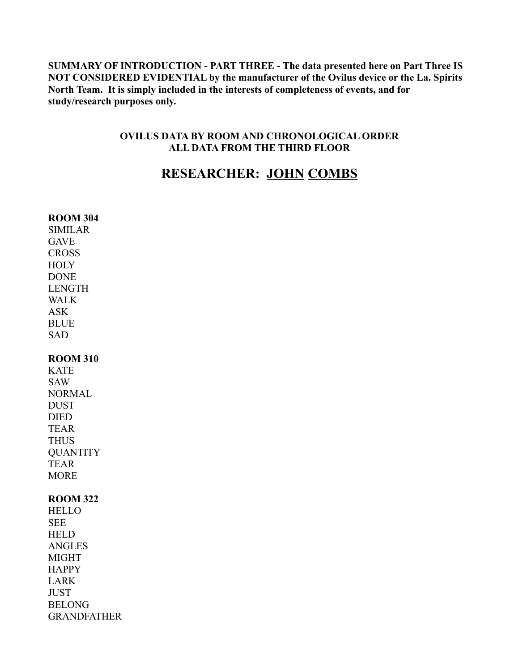**SUMMARY OF INTRODUCTION - PART THREE - The data presented here on Part Three IS NOT CONSIDERED EVIDENTIAL by the manufacturer of the Ovilus device or the La. Spirits North Team. It is simply included in the interests of completeness of events, and for study/research purposes only.**

### **OVILUS DATA BY ROOM AND CHRONOLOGICAL ORDER ALL DATA FROM THE THIRD FLOOR**

### **RESEARCHER: JOHN COMBS**

| <b>ROOM 304</b>    |
|--------------------|
| <b>SIMILAR</b>     |
| <b>GAVE</b>        |
| <b>CROSS</b>       |
| <b>HOLY</b>        |
| <b>DONE</b>        |
| <b>LENGTH</b>      |
| <b>WALK</b>        |
| <b>ASK</b>         |
| <b>BLUE</b>        |
| <b>SAD</b>         |
| <b>ROOM 310</b>    |
| <b>KATE</b>        |
| <b>SAW</b>         |
| <b>NORMAL</b>      |
| <b>DUST</b>        |
| <b>DIED</b>        |
| <b>TEAR</b>        |
| <b>THUS</b>        |
| <b>OUANTITY</b>    |
| <b>TEAR</b>        |
| <b>MORE</b>        |
| <b>ROOM 322</b>    |
| <b>HELLO</b>       |
| <b>SEE</b>         |
| <b>HELD</b>        |
| <b>ANGLES</b>      |
| <b>MIGHT</b>       |
| <b>HAPPY</b>       |
| <b>LARK</b>        |
| <b>JUST</b>        |
| <b>BELONG</b>      |
| <b>GRANDFATHER</b> |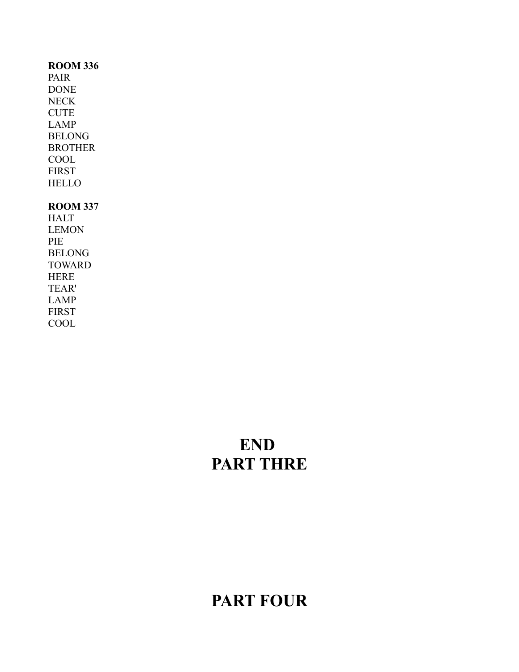#### **ROOM 336**

PAIR DONE NECK CUTE LAMP BELONG BROTHER COOL FIRST **HELLO** 

### **ROOM 337**

HALT LEMON PIE BELONG TOWARD HERE TEAR' LAMP FIRST COOL

# **END PART THRE**

## **PART FOUR**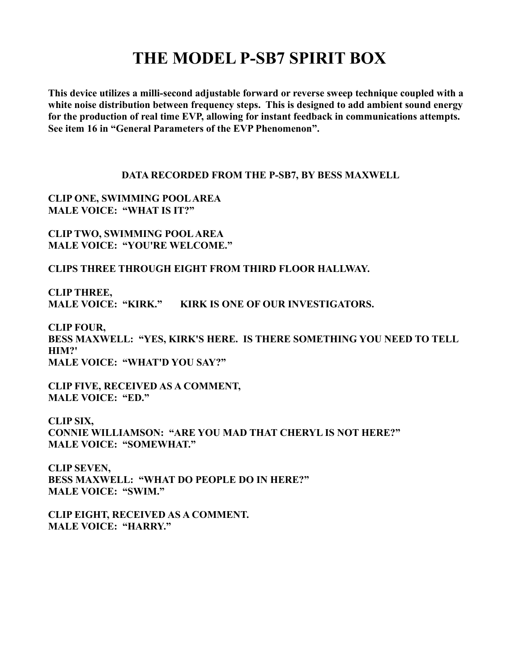## **THE MODEL P-SB7 SPIRIT BOX**

**This device utilizes a milli-second adjustable forward or reverse sweep technique coupled with a white noise distribution between frequency steps. This is designed to add ambient sound energy for the production of real time EVP, allowing for instant feedback in communications attempts. See item 16 in "General Parameters of the EVP Phenomenon".** 

#### **DATA RECORDED FROM THE P-SB7, BY BESS MAXWELL**

**CLIP ONE, SWIMMING POOL AREA MALE VOICE: "WHAT IS IT?"**

**CLIP TWO, SWIMMING POOL AREA MALE VOICE: "YOU'RE WELCOME."**

**CLIPS THREE THROUGH EIGHT FROM THIRD FLOOR HALLWAY.**

**CLIP THREE, MALE VOICE: "KIRK." KIRK IS ONE OF OUR INVESTIGATORS.**

**CLIP FOUR, BESS MAXWELL: "YES, KIRK'S HERE. IS THERE SOMETHING YOU NEED TO TELL HIM?' MALE VOICE: "WHAT'D YOU SAY?"**

**CLIP FIVE, RECEIVED AS A COMMENT, MALE VOICE: "ED."**

**CLIP SIX, CONNIE WILLIAMSON: "ARE YOU MAD THAT CHERYL IS NOT HERE?" MALE VOICE: "SOMEWHAT."**

**CLIP SEVEN, BESS MAXWELL: "WHAT DO PEOPLE DO IN HERE?" MALE VOICE: "SWIM."**

**CLIP EIGHT, RECEIVED AS A COMMENT. MALE VOICE: "HARRY."**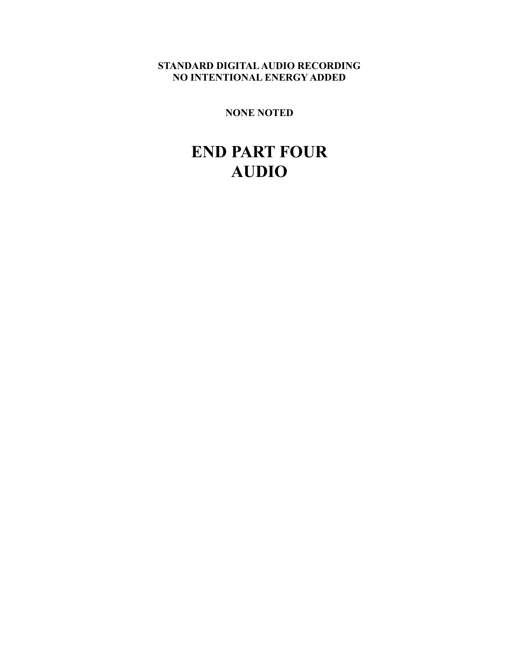### **STANDARD DIGITAL AUDIO RECORDING NO INTENTIONAL ENERGY ADDED**

**NONE NOTED**

## **END PART FOUR AUDIO**